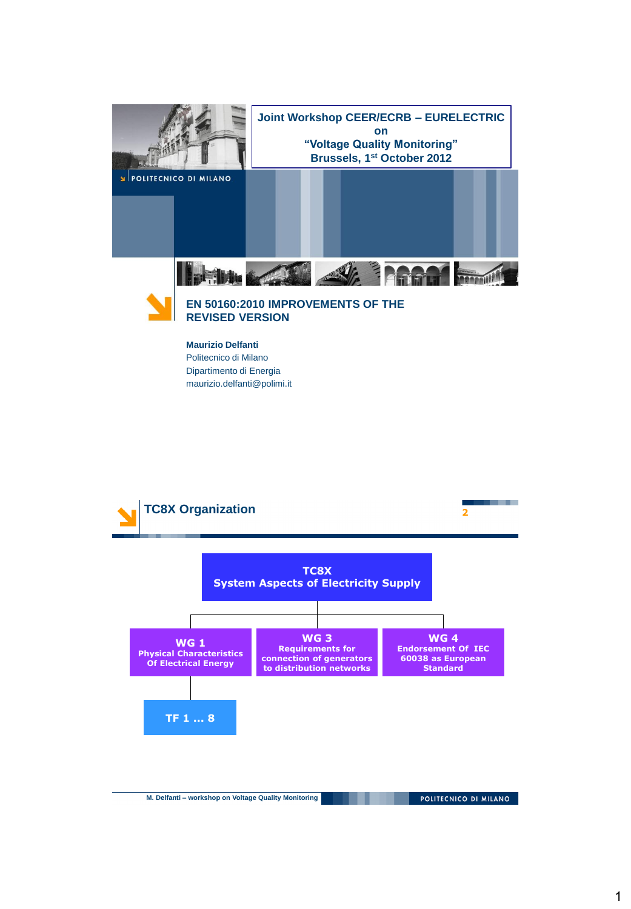



#### **Maurizio Delfanti**

Politecnico di Milano Dipartimento di Energia maurizio.delfanti@polimi.it



**M. Delfanti – workshop on Voltage Quality Monitoring**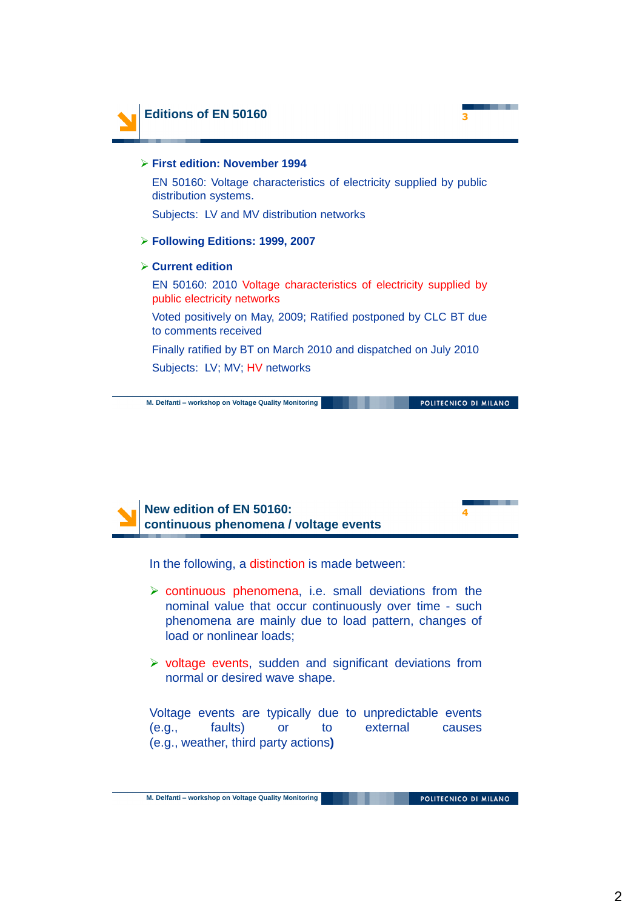

## **First edition: November 1994** EN 50160: Voltage characteristics of electricity supplied by public distribution systems. Subjects: LV and MV distribution networks **Following Editions: 1999, 2007 Current edition** EN 50160: 2010 Voltage characteristics of electricity supplied by public electricity networks Voted positively on May, 2009; Ratified postponed by CLC BT due to comments received Finally ratified by BT on March 2010 and dispatched on July 2010

Subjects: LV; MV; HV networks

**M. Delfanti – workshop on Voltage Quality Monitoring**

POLITECNICO DI MILANO



In the following, a distinction is made between:

- $\triangleright$  continuous phenomena, i.e. small deviations from the nominal value that occur continuously over time - such phenomena are mainly due to load pattern, changes of load or nonlinear loads;
- $\triangleright$  voltage events, sudden and significant deviations from normal or desired wave shape.

Voltage events are typically due to unpredictable events (e.g., faults) or to external causes (e.g., weather, third party actions**)**

. .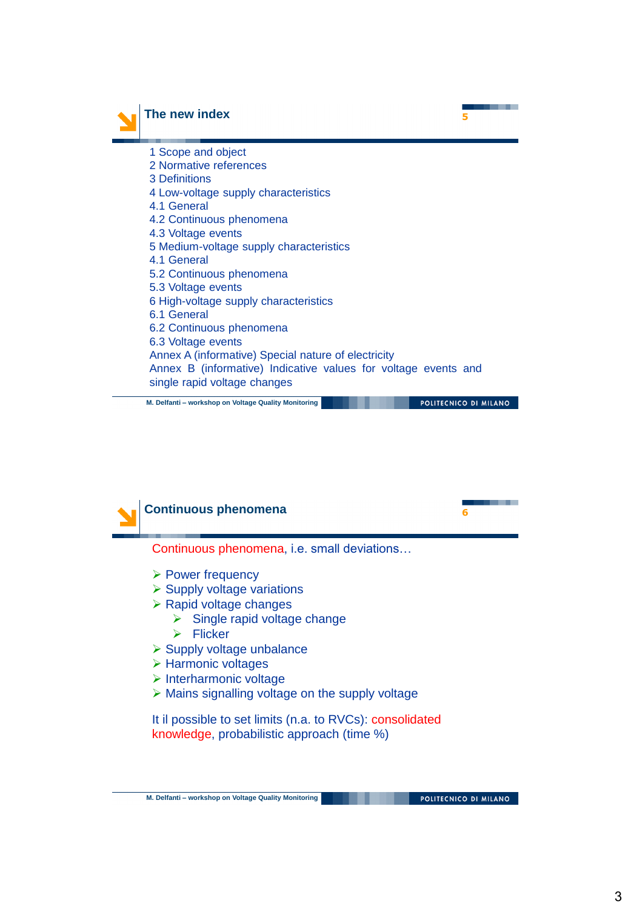

### **The new index** 5

| 1 Scope and object                                             |
|----------------------------------------------------------------|
| 2 Normative references                                         |
| 3 Definitions                                                  |
| 4 Low-voltage supply characteristics                           |
| 4.1 General                                                    |
| 4.2 Continuous phenomena                                       |
| 4.3 Voltage events                                             |
| 5 Medium-voltage supply characteristics                        |
| 4.1 General                                                    |
| 5.2 Continuous phenomena                                       |
| 5.3 Voltage events                                             |
| 6 High-voltage supply characteristics                          |
| 6.1 General                                                    |
| 6.2 Continuous phenomena                                       |
| 6.3 Voltage events                                             |
| Annex A (informative) Special nature of electricity            |
| Annex B (informative) Indicative values for voltage events and |
| single rapid voltage changes                                   |
|                                                                |

**M. Delfanti – workshop on Voltage Quality Monitoring**

POLITECNICO DI MILANO

- -

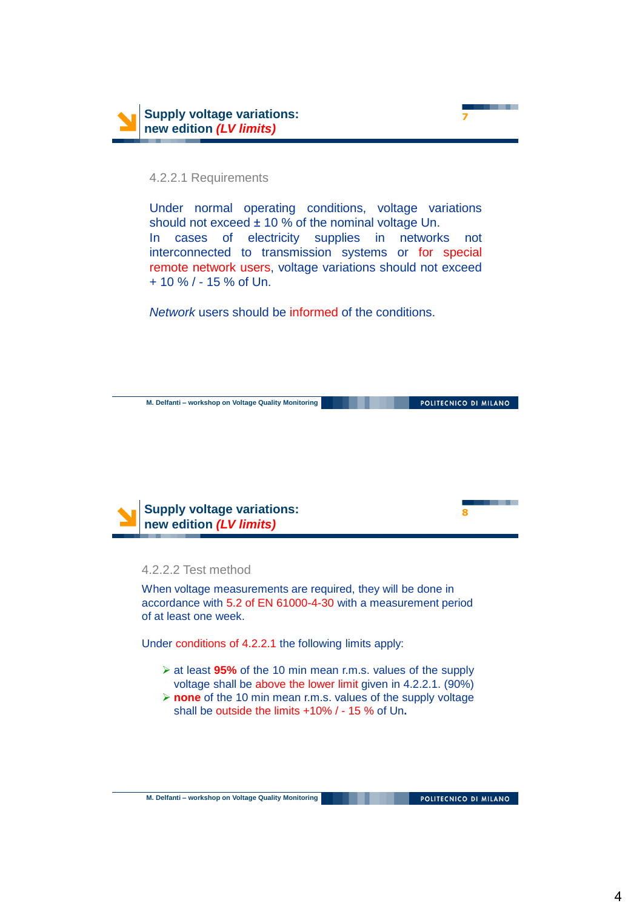

#### 4.2.2.1 Requirements

Under normal operating conditions, voltage variations should not exceed  $\pm$  10 % of the nominal voltage Un. In cases of electricity supplies in networks not interconnected to transmission systems or for special remote network users, voltage variations should not exceed + 10 % / - 15 % of Un.

*Network* users should be informed of the conditions.



4.2.2.2 Test method

When voltage measurements are required, they will be done in accordance with 5.2 of EN 61000-4-30 with a measurement period of at least one week.

Under conditions of 4.2.2.1 the following limits apply:

- at least **95%** of the 10 min mean r.m.s. values of the supply voltage shall be above the lower limit given in 4.2.2.1. (90%)
- **none** of the 10 min mean r.m.s. values of the supply voltage shall be outside the limits +10% / - 15 % of Un**.**

POLITECNICO DI MILANO

. . .

**7**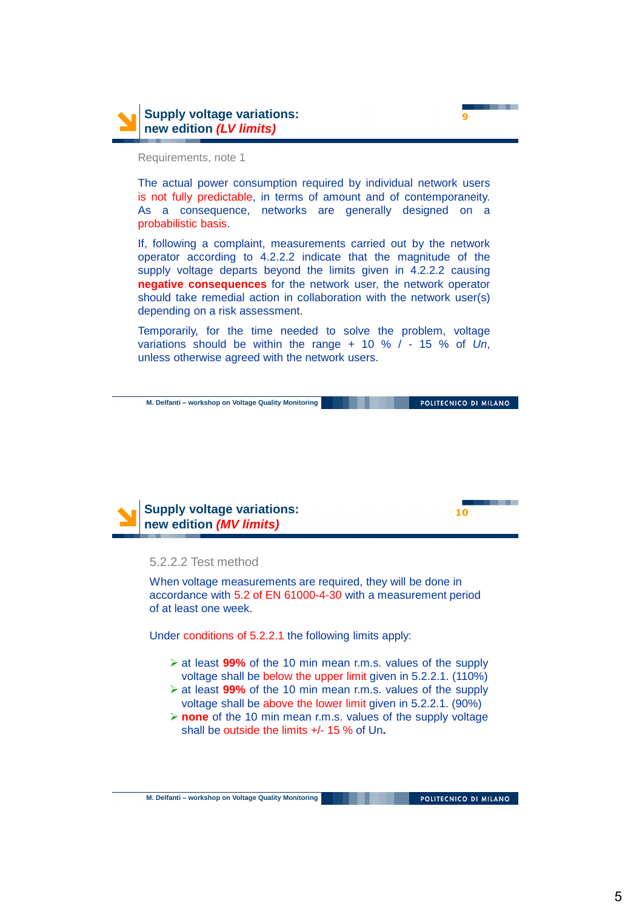

**9**

Requirements, note 1

The actual power consumption required by individual network users is not fully predictable, in terms of amount and of contemporaneity. As a consequence, networks are generally designed on a probabilistic basis.

If, following a complaint, measurements carried out by the network operator according to 4.2.2.2 indicate that the magnitude of the supply voltage departs beyond the limits given in 4.2.2.2 causing **negative consequences** for the network user, the network operator should take remedial action in collaboration with the network user(s) depending on a risk assessment.

Temporarily, for the time needed to solve the problem, voltage variations should be within the range + 10 % / - 15 % of *Un*, unless otherwise agreed with the network users.

**M. Delfanti – workshop on Voltage Quality Monitoring**

POLITECNICO DI MILANO



#### 5.2.2.2 Test method

When voltage measurements are required, they will be done in accordance with 5.2 of EN 61000-4-30 with a measurement period of at least one week.

Under conditions of 5.2.2.1 the following limits apply:

- at least **99%** of the 10 min mean r.m.s. values of the supply voltage shall be below the upper limit given in 5.2.2.1. (110%)
- at least **99%** of the 10 min mean r.m.s. values of the supply voltage shall be above the lower limit given in 5.2.2.1. (90%)
- **none** of the 10 min mean r.m.s. values of the supply voltage shall be outside the limits +/- 15 % of Un**.**

. .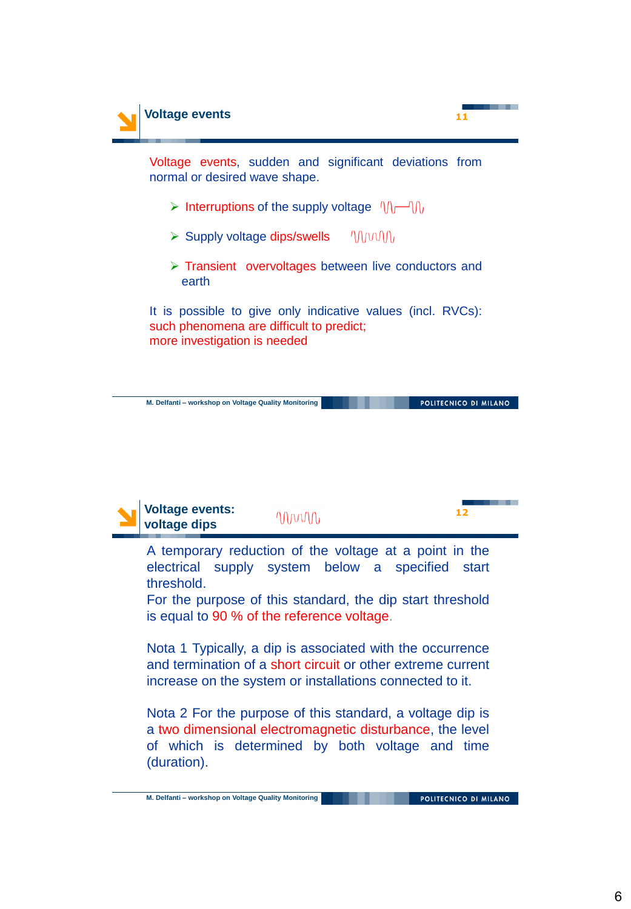

A temporary reduction of the voltage at a point in the electrical supply system below a specified start threshold.

For the purpose of this standard, the dip start threshold is equal to 90 % of the reference voltage.

Nota 1 Typically, a dip is associated with the occurrence and termination of a short circuit or other extreme current increase on the system or installations connected to it.

Nota 2 For the purpose of this standard, a voltage dip is a two dimensional electromagnetic disturbance, the level of which is determined by both voltage and time (duration).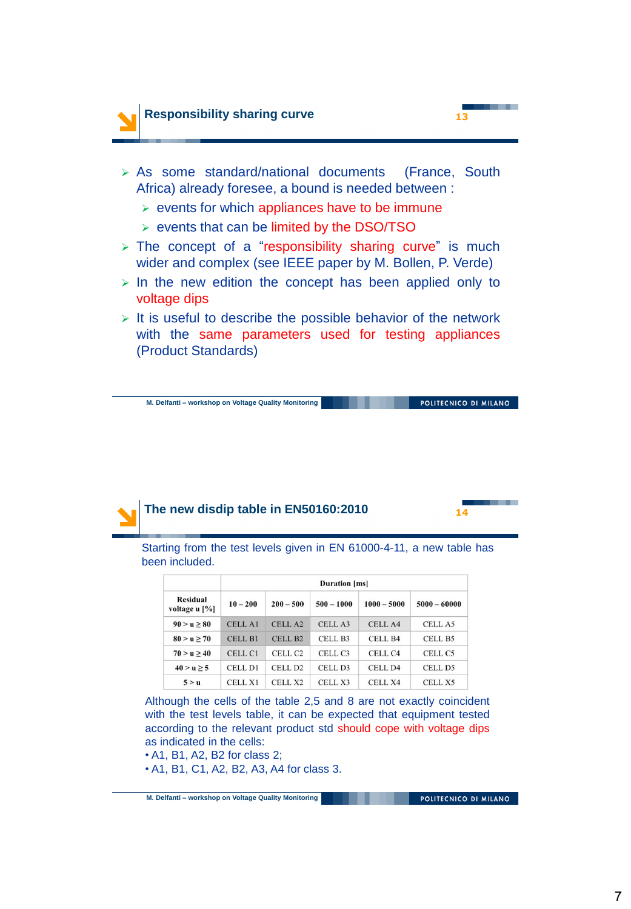



- $\triangleright$  events for which appliances have to be immune
- $\triangleright$  events that can be limited by the DSO/TSO
- $\triangleright$  The concept of a "responsibility sharing curve" is much wider and complex (see IEEE paper by M. Bollen, P. Verde)
- $>$  In the new edition the concept has been applied only to voltage dips
- $\triangleright$  It is useful to describe the possible behavior of the network with the same parameters used for testing appliances (Product Standards)

**M. Delfanti – workshop on Voltage Quality Monitoring**

POLITECNICO DI MILANO



Starting from the test levels given in EN 61000-4-11, a new table has been included.

| <b>Residual</b><br>voltage u [%] | Duration [ms]  |                     |                     |                    |                    |
|----------------------------------|----------------|---------------------|---------------------|--------------------|--------------------|
|                                  | $10 - 200$     | $200 - 500$         | $500 - 1000$        | $1000 - 5000$      | $5000 - 60000$     |
| $90 > u \ge 80$                  | <b>CELL A1</b> | CELL <sub>A2</sub>  | CELL A3             | CELL A4            | CELL A5            |
| $80 > u \ge 70$                  | <b>CELL B1</b> | CELL B <sub>2</sub> | CELL B3             | CELL B4            | CELL B5            |
| 70 > u > 40                      | CELL C1        | CELL <sub>C2</sub>  | CELL <sub>C3</sub>  | CELL C4            | CELL C5            |
| $40 > u \ge 5$                   | CELL D1        | CELL D <sub>2</sub> | CELL D <sub>3</sub> | CELL D4            | CELL D5            |
| 5 > u                            | <b>CELL X1</b> | CELL <sub>X2</sub>  | CELL <sub>X3</sub>  | CELL <sub>X4</sub> | CELL <sub>X5</sub> |

Although the cells of the table 2,5 and 8 are not exactly coincident with the test levels table, it can be expected that equipment tested according to the relevant product std should cope with voltage dips as indicated in the cells:

- A1, B1, A2, B2 for class 2;
- A1, B1, C1, A2, B2, A3, A4 for class 3.